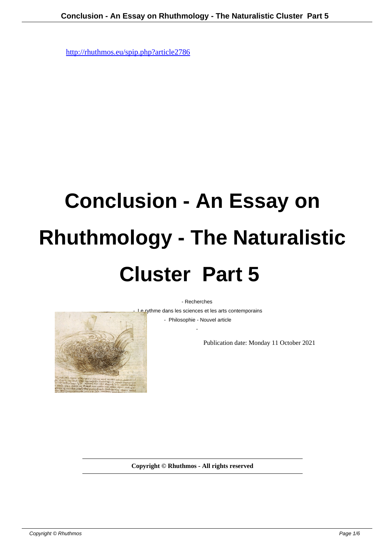## **Conclusion - An Essay on Rhuthmology - The Naturalistic Cluster Part 5**

- Recherches

- Le rythme dans les sciences et les arts contemporains

 - Philosophie - Nouvel article -

Publication date: Monday 11 October 2021

**Copyright © Rhuthmos - All rights reserved**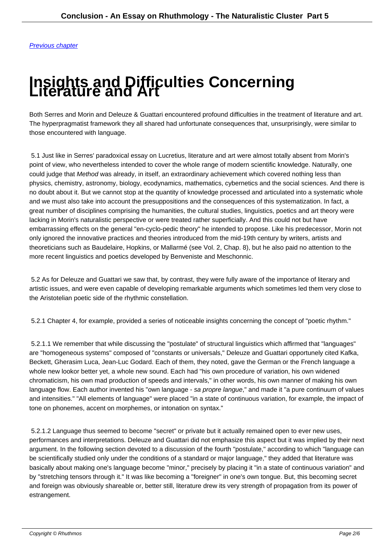## **[Insight](http://rhuthmos.eu/spip.php?article2787)s and Difficulties Concerning Literature and Art**

Both Serres and Morin and Deleuze & Guattari encountered profound difficulties in the treatment of literature and art. The hyperpragmatist framework they all shared had unfortunate consequences that, unsurprisingly, were similar to those encountered with language.

 5.1 Just like in Serres' paradoxical essay on Lucretius, literature and art were almost totally absent from Morin's point of view, who nevertheless intended to cover the whole range of modern scientific knowledge. Naturally, one could judge that Method was already, in itself, an extraordinary achievement which covered nothing less than physics, chemistry, astronomy, biology, ecodynamics, mathematics, cybernetics and the social sciences. And there is no doubt about it. But we cannot stop at the quantity of knowledge processed and articulated into a systematic whole and we must also take into account the presuppositions and the consequences of this systematization. In fact, a great number of disciplines comprising the humanities, the cultural studies, linguistics, poetics and art theory were lacking in Morin's naturalistic perspective or were treated rather superficially. And this could not but have embarrassing effects on the general "en-cyclo-pedic theory" he intended to propose. Like his predecessor, Morin not only ignored the innovative practices and theories introduced from the mid-19th century by writers, artists and theoreticians such as Baudelaire, Hopkins, or Mallarmé (see Vol. 2, Chap. 8), but he also paid no attention to the more recent linguistics and poetics developed by Benveniste and Meschonnic.

 5.2 As for Deleuze and Guattari we saw that, by contrast, they were fully aware of the importance of literary and artistic issues, and were even capable of developing remarkable arguments which sometimes led them very close to the Aristotelian poetic side of the rhythmic constellation.

5.2.1 Chapter 4, for example, provided a series of noticeable insights concerning the concept of "poetic rhythm."

 5.2.1.1 We remember that while discussing the "postulate" of structural linguistics which affirmed that "languages" are "homogeneous systems" composed of "constants or universals," Deleuze and Guattari opportunely cited Kafka, Beckett, Gherasim Luca, Jean-Luc Godard. Each of them, they noted, gave the German or the French language a whole new look or better yet, a whole new sound. Each had "his own procedure of variation, his own widened chromaticism, his own mad production of speeds and intervals," in other words, his own manner of making his own language flow. Each author invented his "own language - sa propre langue," and made it "a pure continuum of values and intensities." "All elements of language" were placed "in a state of continuous variation, for example, the impact of tone on phonemes, accent on morphemes, or intonation on syntax."

 5.2.1.2 Language thus seemed to become "secret" or private but it actually remained open to ever new uses, performances and interpretations. Deleuze and Guattari did not emphasize this aspect but it was implied by their next argument. In the following section devoted to a discussion of the fourth "postulate," according to which "language can be scientifically studied only under the conditions of a standard or major language," they added that literature was basically about making one's language become "minor," precisely by placing it "in a state of continuous variation" and by "stretching tensors through it." It was like becoming a "foreigner" in one's own tongue. But, this becoming secret and foreign was obviously shareable or, better still, literature drew its very strength of propagation from its power of estrangement.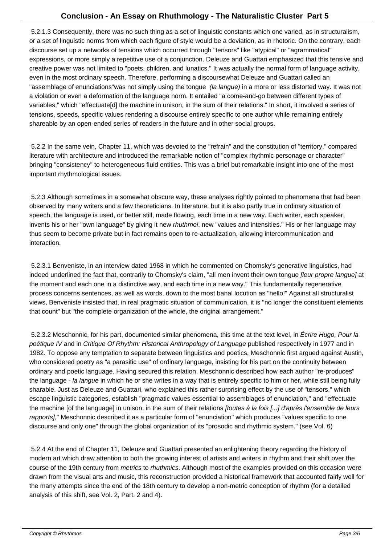5.2.1.3 Consequently, there was no such thing as a set of linguistic constants which one varied, as in structuralism, or a set of linguistic norms from which each figure of style would be a deviation, as in rhetoric. On the contrary, each discourse set up a networks of tensions which occurred through "tensors" like "atypical" or "agrammatical" expressions, or more simply a repetitive use of a conjunction. Deleuze and Guattari emphasized that this tensive and creative power was not limited to "poets, children, and lunatics." It was actually the normal form of language activity, even in the most ordinary speech. Therefore, performing a discourse what Deleuze and Guattari called an "assemblage of enunciations" was not simply using the tongue (la langue) in a more or less distorted way. It was not a violation or even a deformation of the language norm. It entailed "a come-and-go between different types of variables," which "effectuate[d] the machine in unison, in the sum of their relations." In short, it involved a series of tensions, speeds, specific values rendering a discourse entirely specific to one author while remaining entirely shareable by an open-ended series of readers in the future and in other social groups.

 5.2.2 In the same vein, Chapter 11, which was devoted to the "refrain" and the constitution of "territory," compared literature with architecture and introduced the remarkable notion of "complex rhythmic personage or character" bringing "consistency" to heterogeneous fluid entities. This was a brief but remarkable insight into one of the most important rhythmological issues.

 5.2.3 Although sometimes in a somewhat obscure way, these analyses rightly pointed to phenomena that had been observed by many writers and a few theoreticians. In literature, but it is also partly true in ordinary situation of speech, the language is used, or better still, made flowing, each time in a new way. Each writer, each speaker, invents his or her "own language" by giving it new *rhuthmoi*, new "values and intensities." His or her language may thus seem to become private but in fact remains open to re-actualization, allowing intercommunication and interaction.

 5.2.3.1 Benveniste, in an interview dated 1968 in which he commented on Chomsky's generative linguistics, had indeed underlined the fact that, contrarily to Chomsky's claim, "all men invent their own tongue *[leur propre langue]* at the moment and each one in a distinctive way, and each time in a new way." This fundamentally regenerative process concerns sentences, as well as words, down to the most banal locution as "hello!" Against all structuralist views, Benveniste insisted that, in real pragmatic situation of communication, it is "no longer the constituent elements that count" but "the complete organization of the whole, the original arrangement."

5.2.3.2 Meschonnic, for his part, documented similar phenomena, this time at the text level, in Écrire Hugo, Pour la poétique IV and in Critique Of Rhythm: Historical Anthropology of Language published respectively in 1977 and in 1982. To oppose any temptation to separate between linguistics and poetics, Meschonnic first argued against Austin, who considered poetry as "a parasitic use" of ordinary language, insisting for his part on the continuity between ordinary and poetic language. Having secured this relation, Meschonnic described how each author "re-produces" the language - la langue in which he or she writes in a way that is entirely specific to him or her, while still being fully sharable. Just as Deleuze and Guattari, who explained this rather surprising effect by the use of "tensors," which escape linguistic categories, establish "pragmatic values essential to assemblages of enunciation," and "effectuate the machine [of the language] in unison, in the sum of their relations [toutes à la fois [...] d'après l'ensemble de leurs rapports]," Meschonnic described it as a particular form of "enunciation" which produces "values specific to one discourse and only one" through the global organization of its "prosodic and rhythmic system." (see Vol. 6)

 5.2.4 At the end of Chapter 11, Deleuze and Guattari presented an enlightening theory regarding the history of modern art which draw attention to both the growing interest of artists and writers in rhythm and their shift over the course of the 19th century from *metrics* to *rhuthmics*. Although most of the examples provided on this occasion were drawn from the visual arts and music, this reconstruction provided a historical framework that accounted fairly well for the many attempts since the end of the 18th century to develop a non-metric conception of rhythm (for a detailed analysis of this shift, see Vol. 2, Part. 2 and 4).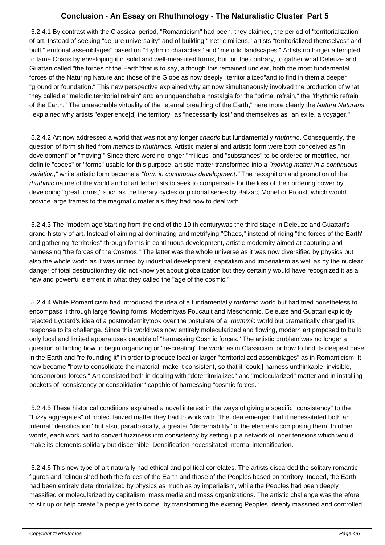5.2.4.1 By contrast with the Classical period, "Romanticism" had been, they claimed, the period of "territorialization" of art. Instead of seeking "de jure universality" and of building "metric milieus," artists "territorialized themselves" and built "territorial assemblages" based on "rhythmic characters" and "melodic landscapes." Artists no longer attempted to tame Chaos by enveloping it in solid and well-measured forms, but, on the contrary, to gather what Deleuze and Guattari called "the forces of the Earth" that is to say, although this remained unclear, both the most fundamental forces of the Naturing Nature and those of the Globe as now deeply "territorialized" and to find in them a deeper "ground or foundation." This new perspective explained why art now simultaneously involved the production of what they called a "melodic territorial refrain" and an unquenchable nostalgia for the "primal refrain," the "rhythmic refrain of the Earth." The unreachable virtuality of the "eternal breathing of the Earth," here more clearly the Natura Naturans , explained why artists "experience[d] the territory" as "necessarily lost" and themselves as "an exile, a voyager."

5.2.4.2 Art now addressed a world that was not any longer chaotic but fundamentally rhuthmic. Consequently, the question of form shifted from metrics to rhuthmics. Artistic material and artistic form were both conceived as "in development" or "moving." Since there were no longer "milieus" and "substances" to be ordered or metrified, nor definite "codes" or "forms" usable for this purpose, artistic matter transformed into a "moving matter in a continuous variation," while artistic form became a "form in continuous development." The recognition and promotion of the rhuthmic nature of the world and of art led artists to seek to compensate for the loss of their ordering power by developing "great forms," such as the literary cycles or pictorial series by Balzac, Monet or Proust, which would provide large frames to the magmatic materials they had now to deal with.

 5.2.4.3 The "modern age"starting from the end of the 19th centurywas the third stage in Deleuze and Guattari's grand history of art. Instead of aiming at dominating and metrifying "Chaos," instead of riding "the forces of the Earth" and gathering "territories" through forms in continuous development, artistic modernity aimed at capturing and harnessing "the forces of the Cosmos." The latter was the whole universe as it was now diversified by physics but also the whole world as it was unified by industrial development, capitalism and imperialism as well as by the nuclear danger of total destruction they did not know yet about globalization but they certainly would have recognized it as a new and powerful element in what they called the "age of the cosmic."

5.2.4.4 While Romanticism had introduced the idea of a fundamentally rhuthmic world but had tried nonetheless to encompass it through large flowing forms, Modernity as Foucault and Meschonnic, Deleuze and Guattari explicitly rejected Lyotard's idea of a postmodernity took over the postulate of a rhuthmic world but dramatically changed its response to its challenge. Since this world was now entirely molecularized and flowing, modern art proposed to build only local and limited apparatuses capable of "harnessing Cosmic forces." The artistic problem was no longer a question of finding how to begin organizing or "re-creating" the world as in Classicism, or how to find its deepest base in the Earth and "re-founding it" in order to produce local or larger "territorialized assemblages" as in Romanticism. It now became "how to consolidate the material, make it consistent, so that it [could] harness unthinkable, invisible, nonsonorous forces." Art consisted both in dealing with "deterritorialized" and "molecularized" matter and in installing pockets of "consistency or consolidation" capable of harnessing "cosmic forces."

 5.2.4.5 These historical conditions explained a novel interest in the ways of giving a specific "consistency" to the "fuzzy aggregates" of molecularized matter they had to work with. The idea emerged that it necessitated both an internal "densification" but also, paradoxically, a greater "discernability" of the elements composing them. In other words, each work had to convert fuzziness into consistency by setting up a network of inner tensions which would make its elements solidary but discernible. Densification necessitated internal intensification.

 5.2.4.6 This new type of art naturally had ethical and political correlates. The artists discarded the solitary romantic figures and relinquished both the forces of the Earth and those of the Peoples based on territory. Indeed, the Earth had been entirely deterritorialized by physics as much as by imperialism, while the Peoples had been deeply massified or molecularized by capitalism, mass media and mass organizations. The artistic challenge was therefore to stir up or help create "a people yet to come" by transforming the existing Peoples, deeply massified and controlled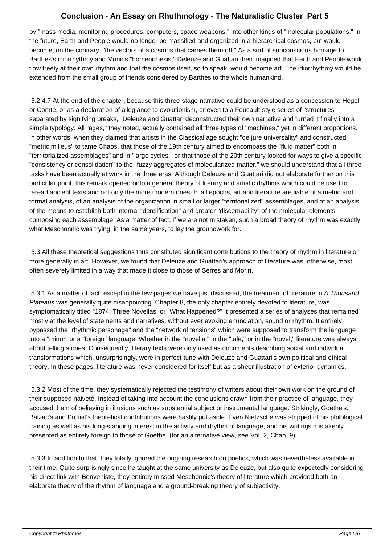by "mass media, monitoring procedures, computers, space weapons," into other kinds of "molecular populations." In the future, Earth and People would no longer be massified and organized in a hierarchical cosmos, but would become, on the contrary, "the vectors of a cosmos that carries them off." As a sort of subconscious homage to Barthes's idiorrhythmy and Morin's "homeorrhesis," Deleuze and Guattari then imagined that Earth and People would flow freely at their own rhythm and that the cosmos itself, so to speak, would become art. The idiorrhythmy would be extended from the small group of friends considered by Barthes to the whole humankind.

 5.2.4.7 At the end of the chapter, because this three-stage narrative could be understood as a concession to Hegel or Comte, or as a declaration of allegiance to evolutionism, or even to a Foucault-style series of "structures separated by signifying breaks," Deleuze and Guattari deconstructed their own narrative and turned it finally into a simple typology. All "ages," they noted, actually contained all three types of "machines," yet in different proportions. In other words, when they claimed that artists in the Classical age sought "de jure universality" and constructed "metric milieus" to tame Chaos, that those of the 19th century aimed to encompass the "fluid matter" both in "territorialized assemblages" and in "large cycles," or that those of the 20th century looked for ways to give a specific "consistency or consolidation" to the "fuzzy aggregates of molecularized matter," we should understand that all three tasks have been actually at work in the three eras. Although Deleuze and Guattari did not elaborate further on this particular point, this remark opened onto a general theory of literary and artistic rhythms which could be used to reread ancient texts and not only the more modern ones. In all epochs, art and literature are liable of a metric and formal analysis, of an analysis of the organization in small or larger "territorialized" assemblages, and of an analysis of the means to establish both internal "densification" and greater "discernability" of the molecular elements composing each assemblage. As a matter of fact, if we are not mistaken, such a broad theory of rhythm was exactly what Meschonnic was trying, in the same years, to lay the groundwork for.

 5.3 All these theoretical suggestions thus constituted significant contributions to the theory of rhythm in literature or more generally in art. However, we found that Deleuze and Guattari's approach of literature was, otherwise, most often severely limited in a way that made it close to those of Serres and Morin.

 5.3.1 As a matter of fact, except in the few pages we have just discussed, the treatment of literature in A Thousand Plateaus was generally quite disappointing. Chapter 8, the only chapter entirely devoted to literature, was symptomatically titled "1874: Three Novellas, or "What Happened?" It presented a series of analyses that remained mostly at the level of statements and narratives, without ever evoking enunciation, sound or rhythm. It entirely bypassed the "rhythmic personage" and the "network of tensions" which were supposed to transform the language into a "minor" or a "foreign" language. Whether in the "novella," in the "tale," or in the "novel," literature was always about telling stories. Consequently, literary texts were only used as documents describing social and individual transformations which, unsurprisingly, were in perfect tune with Deleuze and Guattari's own political and ethical theory. In these pages, literature was never considered for itself but as a sheer illustration of exterior dynamics.

 5.3.2 Most of the time, they systematically rejected the testimony of writers about their own work on the ground of their supposed naiveté. Instead of taking into account the conclusions drawn from their practice of language, they accused them of believing in illusions such as substantial subject or instrumental language. Strikingly, Goethe's, Balzac's and Proust's theoretical contributions were hastily put aside. Even Nietzsche was stripped of his philological training as well as his long-standing interest in the activity and rhythm of language, and his writings mistakenly presented as entirely foreign to those of Goethe. (for an alternative view, see Vol. 2, Chap. 9)

 5.3.3 In addition to that, they totally ignored the ongoing research on poetics, which was nevertheless available in their time. Quite surprisingly since he taught at the same university as Deleuze, but also quite expectedly considering his direct link with Benveniste, they entirely missed Meschonnic's theory of literature which provided both an elaborate theory of the rhythm of language and a ground-breaking theory of subjectivity.